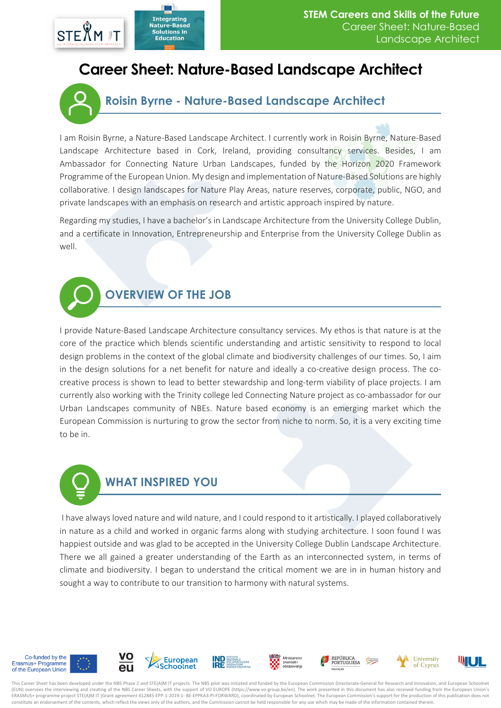

### **Career Sheet: Nature-Based Landscape Architect**

#### **Roisin Byrne - Nature-Based Landscape Architect**

I am Roisin Byrne, a Nature-Based Landscape Architect. I currently work in Roisin Byrne, Nature-Based Landscape Architecture based in Cork, Ireland, providing consultancy services. Besides, I am Ambassador for Connecting Nature Urban Landscapes, funded by the Horizon 2020 Framework Programme of the European Union. My design and implementation of Nature-Based Solutions are highly collaborative. I design landscapes for Nature Play Areas, nature reserves, corporate, public, NGO, and private landscapes with an emphasis on research and artistic approach inspired by nature.

Regarding my studies, I have a bachelor's in Landscape Architecture from the University College Dublin, and a certificate in Innovation, Entrepreneurship and Enterprise from the University College Dublin as well.



I provide Nature-Based Landscape Architecture consultancy services. My ethos is that nature is at the core of the practice which blends scientific understanding and artistic sensitivity to respond to local design problems in the context of the global climate and biodiversity challenges of our times. So, I aim in the design solutions for a net benefit for nature and ideally a co-creative design process. The cocreative process is shown to lead to better stewardship and long-term viability of place projects. I am currently also working with the Trinity college led Connecting Nature project as co-ambassador for our Urban Landscapes community of NBEs. Nature based economy is an emerging market which the European Commission is nurturing to grow the sector from niche to norm. So, it is a very exciting time to be in.

## **WHAT INSPIRED YOU**

I have always loved nature and wild nature, and I could respond to it artistically. I played collaboratively in nature as a child and worked in organic farms along with studying architecture. I soon found I was happiest outside and was glad to be accepted in the University College Dublin Landscape Architecture. There we all gained a greater understanding of the Earth as an interconnected system, in terms of climate and biodiversity. I began to understand the critical moment we are in in human history and sought a way to contribute to our transition to harmony with natural systems.



This Career Sheet has been developed under the NBS Phase 2 and STE(A)M IT projects. The NBS pilot was initiated and funded by the European Commission Directorate-General for Research and Innovation, and European Schoolnet (EUN) oversees the interviewing and creating of the NBS Career Sheets, with the support of VO EUROPE (https://www.vo-group.be/en). The work presented in this document has also received funding from the European Union's ERASMUS+ programme project STE(A)M IT (Grant agreement 612845-EPP-1-2019-1- BE-EPPKA3-PI-FORWARD), coordinated by European Schoolnet. The European Commission's support for the production of this publication does not constitute an endorsement of the contents, which reflect the views only of the authors, and the Commission cannot be held responsible for any use which may be made of the information contained therein.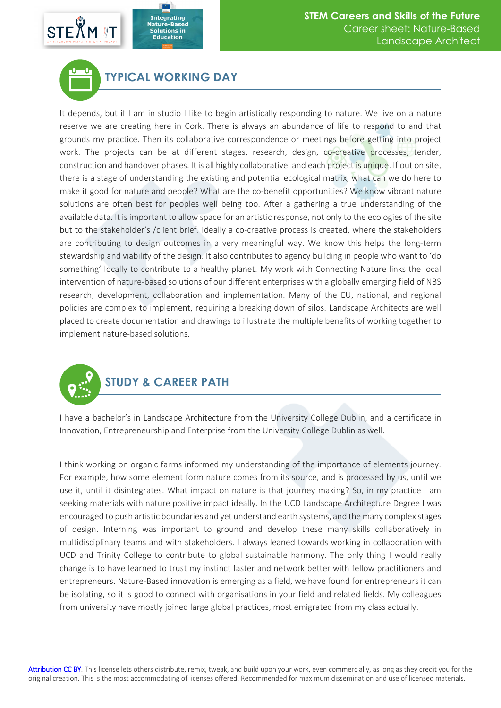

# **TYPICAL WORKING DAY**

**Integrating Nature-Based** 

**Solutions** in

It depends, but if I am in studio I like to begin artistically responding to nature. We live on a nature reserve we are creating here in Cork. There is always an abundance of life to respond to and that grounds my practice. Then its collaborative correspondence or meetings before getting into project work. The projects can be at different stages, research, design, co-creative processes, tender, construction and handover phases. It is all highly collaborative, and each project is unique. If out on site, there is a stage of understanding the existing and potential ecological matrix, what can we do here to make it good for nature and people? What are the co-benefit opportunities? We know vibrant nature solutions are often best for peoples well being too. After a gathering a true understanding of the available data. It is important to allow space for an artistic response, not only to the ecologies of the site but to the stakeholder's /client brief. Ideally a co-creative process is created, where the stakeholders are contributing to design outcomes in a very meaningful way. We know this helps the long-term stewardship and viability of the design. It also contributes to agency building in people who want to 'do something' locally to contribute to a healthy planet. My work with Connecting Nature links the local intervention of nature-based solutions of our different enterprises with a globally emerging field of NBS research, development, collaboration and implementation. Many of the EU, national, and regional policies are complex to implement, requiring a breaking down of silos. Landscape Architects are well placed to create documentation and drawings to illustrate the multiple benefits of working together to implement nature-based solutions.



I have a bachelor's in Landscape Architecture from the University College Dublin, and a certificate in Innovation, Entrepreneurship and Enterprise from the University College Dublin as well.

I think working on organic farms informed my understanding of the importance of elements journey. For example, how some element form nature comes from its source, and is processed by us, until we use it, until it disintegrates. What impact on nature is that journey making? So, in my practice I am seeking materials with nature positive impact ideally. In the UCD Landscape Architecture Degree I was encouraged to push artistic boundaries and yet understand earth systems, and the many complex stages of design. Interning was important to ground and develop these many skills collaboratively in multidisciplinary teams and with stakeholders. I always leaned towards working in collaboration with UCD and Trinity College to contribute to global sustainable harmony. The only thing I would really change is to have learned to trust my instinct faster and network better with fellow practitioners and entrepreneurs. Nature-Based innovation is emerging as a field, we have found for entrepreneurs it can be isolating, so it is good to connect with organisations in your field and related fields. My colleagues from university have mostly joined large global practices, most emigrated from my class actually.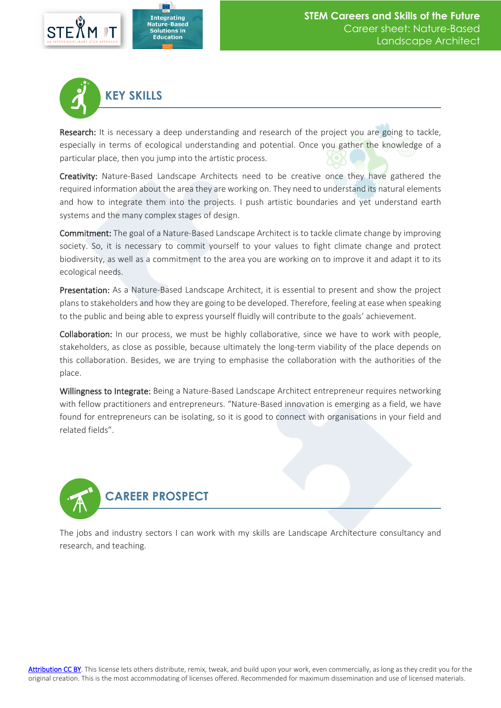



Research: It is necessary a deep understanding and research of the project you are going to tackle, especially in terms of ecological understanding and potential. Once you gather the knowledge of a particular place, then you jump into the artistic process.

Creativity: Nature-Based Landscape Architects need to be creative once they have gathered the required information about the area they are working on. They need to understand its natural elements and how to integrate them into the projects. I push artistic boundaries and yet understand earth systems and the many complex stages of design.

Commitment: The goal of a Nature-Based Landscape Architect is to tackle climate change by improving society. So, it is necessary to commit yourself to your values to fight climate change and protect biodiversity, as well as a commitment to the area you are working on to improve it and adapt it to its ecological needs.

Presentation: As a Nature-Based Landscape Architect, it is essential to present and show the project plans to stakeholders and how they are going to be developed. Therefore, feeling at ease when speaking to the public and being able to express yourself fluidly will contribute to the goals' achievement.

Collaboration: In our process, we must be highly collaborative, since we have to work with people, stakeholders, as close as possible, because ultimately the long-term viability of the place depends on this collaboration. Besides, we are trying to emphasise the collaboration with the authorities of the place.

Willingness to Integrate: Being a Nature-Based Landscape Architect entrepreneur requires networking with fellow practitioners and entrepreneurs. "Nature-Based innovation is emerging as a field, we have found for entrepreneurs can be isolating, so it is good to connect with organisations in your field and related fields".



The jobs and industry sectors I can work with my skills are Landscape Architecture consultancy and research, and teaching.